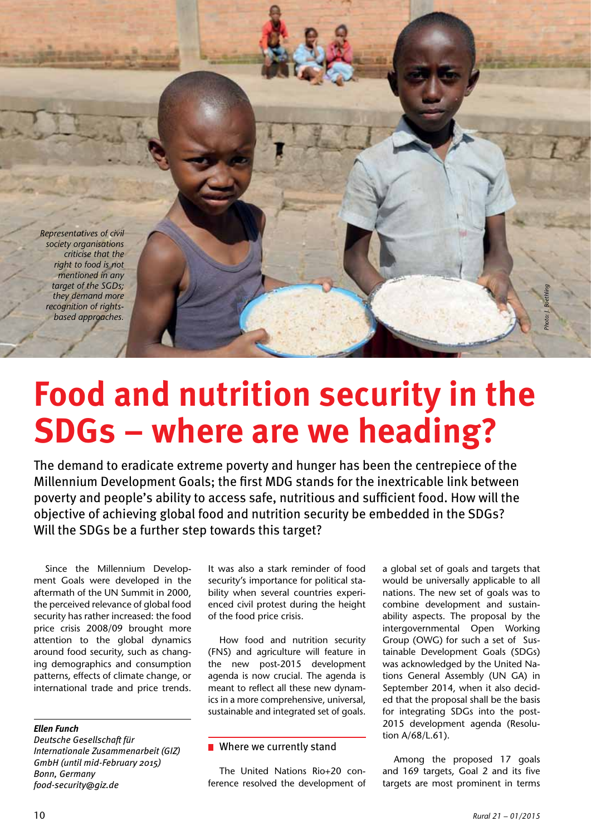*Representatives of civil society organisations criticise that the right to food is not mentioned in any target of the SGDs; they demand more recognition of rightsbased approaches.*

Focus

# **Food and nutrition security in the SDGs – where are we heading?**

The demand to eradicate extreme poverty and hunger has been the centrepiece of the Millennium Development Goals; the first MDG stands for the inextricable link between poverty and people's ability to access safe, nutritious and sufficient food. How will the objective of achieving global food and nutrition security be embedded in the SDGs? Will the SDGs be a further step towards this target?

Since the Millennium Development Goals were developed in the aftermath of the UN Summit in 2000, the perceived relevance of global food security has rather increased: the food price crisis 2008/09 brought more attention to the global dynamics around food security, such as changing demographics and consumption patterns, effects of climate change, or international trade and price trends.

## *Ellen Funch*

*Deutsche Gesellschaft für Internationale Zusammenarbeit (GIZ) GmbH (until mid-February 2015) Bonn, Germany food-security@giz.de*

It was also a stark reminder of food security's importance for political stability when several countries experienced civil protest during the height of the food price crisis.

How food and nutrition security (FNS) and agriculture will feature in the new post-2015 development agenda is now crucial. The agenda is meant to reflect all these new dynamics in a more comprehensive, universal, sustainable and integrated set of goals.

#### **Notable We currently stand**

The United Nations Rio+20 conference resolved the development of a global set of goals and targets that would be universally applicable to all nations. The new set of goals was to combine development and sustainability aspects. The proposal by the intergovernmental Open Working Group (OWG) for such a set of Sustainable Development Goals (SDGs) was acknowledged by the United Nations General Assembly (UN GA) in September 2014, when it also decided that the proposal shall be the basis for integrating SDGs into the post-2015 development agenda (Resolution A/68/L.61).

Among the proposed 17 goals and 169 targets, Goal 2 and its five targets are most prominent in terms

*Photo: J. Boethling*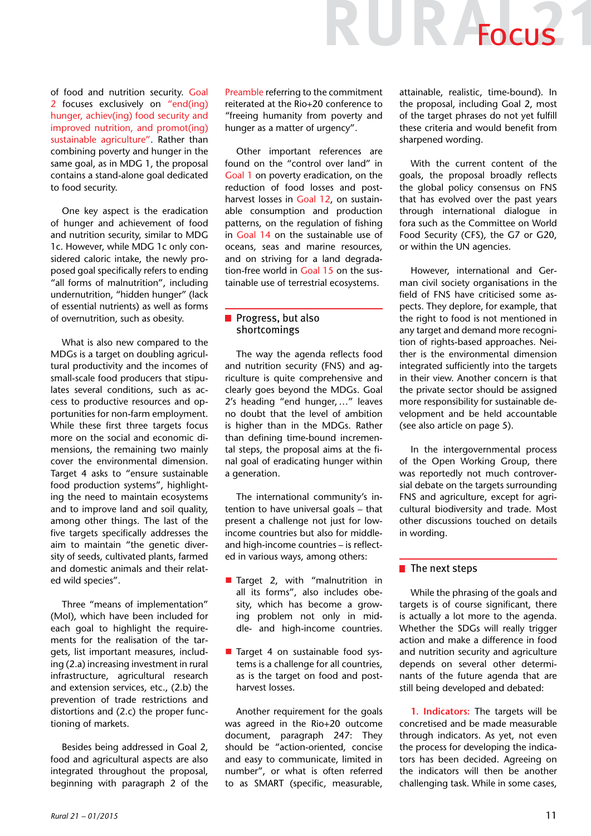of food and nutrition security. Goal 2 focuses exclusively on "end(ing) hunger, achiev(ing) food security and improved nutrition, and promot(ing) sustainable agriculture". Rather than combining poverty and hunger in the same goal, as in MDG 1, the proposal contains a stand-alone goal dedicated to food security.

One key aspect is the eradication of hunger and achievement of food and nutrition security, similar to MDG 1c. However, while MDG 1c only considered caloric intake, the newly proposed goal specifically refers to ending "all forms of malnutrition", including undernutrition, "hidden hunger" (lack of essential nutrients) as well as forms of overnutrition, such as obesity.

What is also new compared to the MDGs is a target on doubling agricultural productivity and the incomes of small-scale food producers that stipulates several conditions, such as access to productive resources and opportunities for non-farm employment. While these first three targets focus more on the social and economic dimensions, the remaining two mainly cover the environmental dimension. Target 4 asks to "ensure sustainable food production systems", highlighting the need to maintain ecosystems and to improve land and soil quality, among other things. The last of the five targets specifically addresses the aim to maintain "the genetic diversity of seeds, cultivated plants, farmed and domestic animals and their related wild species".

Three "means of implementation" (MoI), which have been included for each goal to highlight the requirements for the realisation of the targets, list important measures, including (2.a) increasing investment in rural infrastructure, agricultural research and extension services, etc., (2.b) the prevention of trade restrictions and distortions and (2.c) the proper functioning of markets.

Besides being addressed in Goal 2, food and agricultural aspects are also integrated throughout the proposal, beginning with paragraph 2 of the Preamble referring to the commitment reiterated at the Rio+20 conference to "freeing humanity from poverty and hunger as a matter of urgency".

Other important references are found on the "control over land" in Goal 1 on poverty eradication, on the reduction of food losses and postharvest losses in Goal 12, on sustainable consumption and production patterns, on the regulation of fishing in Goal 14 on the sustainable use of oceans, seas and marine resources, and on striving for a land degradation-free world in Goal 15 on the sustainable use of terrestrial ecosystems.

### Progress, but also shortcomings

The way the agenda reflects food and nutrition security (FNS) and agriculture is quite comprehensive and clearly goes beyond the MDGs. Goal 2's heading "end hunger, …" leaves no doubt that the level of ambition is higher than in the MDGs. Rather than defining time-bound incremental steps, the proposal aims at the final goal of eradicating hunger within a generation.

The international community's intention to have universal goals – that present a challenge not just for lowincome countries but also for middleand high-income countries – is reflected in various ways, among others:

- **Target 2, with "malnutrition in** all its forms", also includes obesity, which has become a growing problem not only in middle- and high-income countries.
- Target 4 on sustainable food systems is a challenge for all countries, as is the target on food and postharvest losses.

Another requirement for the goals was agreed in the Rio+20 outcome document, paragraph 247: They should be "action-oriented, concise and easy to communicate, limited in number", or what is often referred to as SMART (specific, measurable,

attainable, realistic, time-bound). In the proposal, including Goal 2, most of the target phrases do not yet fulfill these criteria and would benefit from sharpened wording.

UR Focus

With the current content of the goals, the proposal broadly reflects the global policy consensus on FNS that has evolved over the past years through international dialogue in fora such as the Committee on World Food Security (CFS), the G7 or G20, or within the UN agencies.

However, international and German civil society organisations in the field of FNS have criticised some aspects. They deplore, for example, that the right to food is not mentioned in any target and demand more recognition of rights-based approaches. Neither is the environmental dimension integrated sufficiently into the targets in their view. Another concern is that the private sector should be assigned more responsibility for sustainable development and be held accountable (see also article on page 5).

In the intergovernmental process of the Open Working Group, there was reportedly not much controversial debate on the targets surrounding FNS and agriculture, except for agricultural biodiversity and trade. Most other discussions touched on details in wording.

#### $\blacksquare$  The next steps

While the phrasing of the goals and targets is of course significant, there is actually a lot more to the agenda. Whether the SDGs will really trigger action and make a difference in food and nutrition security and agriculture depends on several other determinants of the future agenda that are still being developed and debated:

**1. Indicators:** The targets will be concretised and be made measurable through indicators. As yet, not even the process for developing the indicators has been decided. Agreeing on the indicators will then be another challenging task. While in some cases,